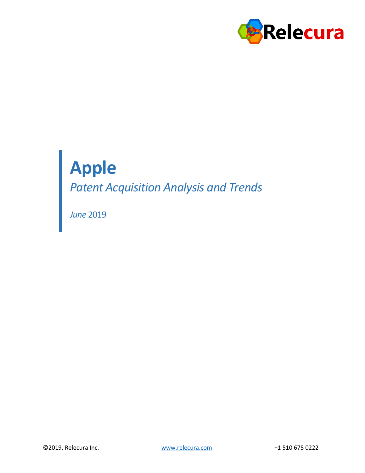

# **Apple**

*Patent Acquisition Analysis and Trends*

*June* 2019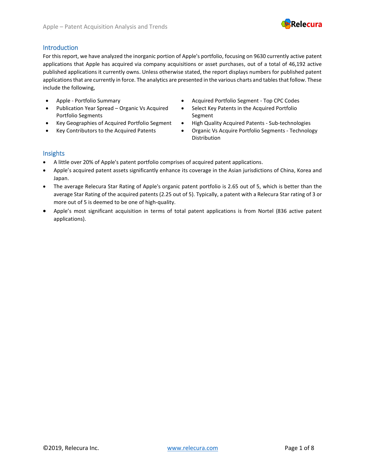

#### Introduction

For this report, we have analyzed the inorganic portion of Apple's portfolio, focusing on 9630 currently active patent applications that Apple has acquired via company acquisitions or asset purchases, out of a total of 46,192 active published applications it currently owns. Unless otherwise stated, the report displays numbers for published patent applications that are currently in force. The analytics are presented in the various charts and tables that follow. These include the following,

- 
- Publication Year Spread Organic Vs Acquired Portfolio Segments
- Key Geographies of Acquired Portfolio Segment
- Key Contributors to the Acquired Patents
- Apple Portfolio Summary Acquired Portfolio Segment Top CPC Codes
	- Select Key Patents in the Acquired Portfolio Segment
	- High Quality Acquired Patents Sub-technologies
	- Organic Vs Acquire Portfolio Segments Technology Distribution

#### Insights

- A little over 20% of Apple's patent portfolio comprises of acquired patent applications.
- Apple's acquired patent assets significantly enhance its coverage in the Asian jurisdictions of China, Korea and Japan.
- The average Relecura Star Rating of Apple's organic patent portfolio is 2.65 out of 5, which is better than the average Star Rating of the acquired patents (2.25 out of 5). Typically, a patent with a Relecura Star rating of 3 or more out of 5 is deemed to be one of high-quality.
- Apple's most significant acquisition in terms of total patent applications is from Nortel (836 active patent applications).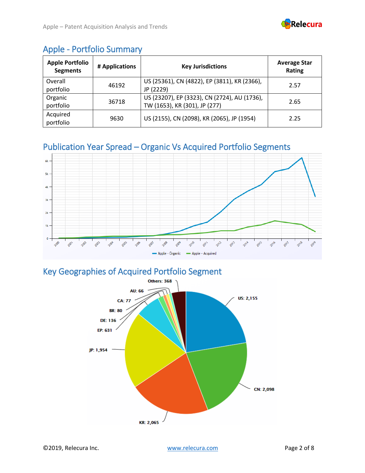

### Apple - Portfolio Summary

| <b>Apple Portfolio</b><br><b>Segments</b> | # Applications | <b>Key Jurisdictions</b>                                                      | <b>Average Star</b><br>Rating |  |
|-------------------------------------------|----------------|-------------------------------------------------------------------------------|-------------------------------|--|
| Overall<br>portfolio                      | 46192          | US (25361), CN (4822), EP (3811), KR (2366),<br>JP (2229)                     | 2.57                          |  |
| Organic<br>portfolio                      | 36718          | US (23207), EP (3323), CN (2724), AU (1736),<br>TW (1653), KR (301), JP (277) | 2.65                          |  |
| Acquired<br>portfolio                     | 9630           | US (2155), CN (2098), KR (2065), JP (1954)                                    | 2.25                          |  |

### Publication Year Spread – Organic Vs Acquired Portfolio Segments



### Key Geographies of Acquired Portfolio Segment

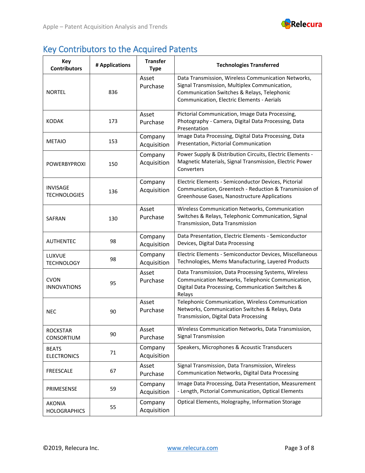

# Key Contributors to the Acquired Patents

| Key<br><b>Contributors</b>             | # Applications | <b>Transfer</b><br><b>Type</b> | <b>Technologies Transferred</b>                                                                                                                                                                   |
|----------------------------------------|----------------|--------------------------------|---------------------------------------------------------------------------------------------------------------------------------------------------------------------------------------------------|
| <b>NORTEL</b>                          | 836            | Asset<br>Purchase              | Data Transmission, Wireless Communication Networks,<br>Signal Transmission, Multiplex Communication,<br>Communication Switches & Relays, Telephonic<br>Communication, Electric Elements - Aerials |
| <b>KODAK</b>                           | 173            | Asset<br>Purchase              | Pictorial Communication, Image Data Processing,<br>Photography - Camera, Digital Data Processing, Data<br>Presentation                                                                            |
| <b>METAIO</b>                          | 153            | Company<br>Acquisition         | Image Data Processing, Digital Data Processing, Data<br>Presentation, Pictorial Communication                                                                                                     |
| <b>POWERBYPROXI</b>                    | 150            | Company<br>Acquisition         | Power Supply & Distribution Circuits, Electric Elements -<br>Magnetic Materials, Signal Transmission, Electric Power<br>Converters                                                                |
| <b>INVISAGE</b><br><b>TECHNOLOGIES</b> | 136            | Company<br>Acquisition         | Electric Elements - Semiconductor Devices, Pictorial<br>Communication, Greentech - Reduction & Transmission of<br>Greenhouse Gases, Nanostructure Applications                                    |
| SAFRAN                                 | 130            | Asset<br>Purchase              | Wireless Communication Networks, Communication<br>Switches & Relays, Telephonic Communication, Signal<br>Transmission, Data Transmission                                                          |
| <b>AUTHENTEC</b>                       | 98             | Company<br>Acquisition         | Data Presentation, Electric Elements - Semiconductor<br>Devices, Digital Data Processing                                                                                                          |
| LUXVUE<br><b>TECHNOLOGY</b>            | 98             | Company<br>Acquisition         | Electric Elements - Semiconductor Devices, Miscellaneous<br>Technologies, Mems Manufacturing, Layered Products                                                                                    |
| <b>CVON</b><br><b>INNOVATIONS</b>      | 95             | Asset<br>Purchase              | Data Transmission, Data Processing Systems, Wireless<br>Communication Networks, Telephonic Communication,<br>Digital Data Processing, Communication Switches &<br>Relays                          |
| <b>NEC</b>                             | 90             | Asset<br>Purchase              | Telephonic Communication, Wireless Communication<br>Networks, Communication Switches & Relays, Data<br>Transmission, Digital Data Processing                                                      |
| <b>ROCKSTAR</b><br>CONSORTIUM          | 90             | Asset<br>Purchase              | Wireless Communication Networks, Data Transmission,<br><b>Signal Transmission</b>                                                                                                                 |
| <b>BEATS</b><br><b>ELECTRONICS</b>     | 71             | Company<br>Acquisition         | Speakers, Microphones & Acoustic Transducers                                                                                                                                                      |
| <b>FREESCALE</b>                       | 67             | Asset<br>Purchase              | Signal Transmission, Data Transmission, Wireless<br>Communication Networks, Digital Data Processing                                                                                               |
| PRIMESENSE                             | 59             | Company<br>Acquisition         | Image Data Processing, Data Presentation, Measurement<br>- Length, Pictorial Communication, Optical Elements                                                                                      |
| <b>AKONIA</b><br><b>HOLOGRAPHICS</b>   | 55             | Company<br>Acquisition         | Optical Elements, Holography, Information Storage                                                                                                                                                 |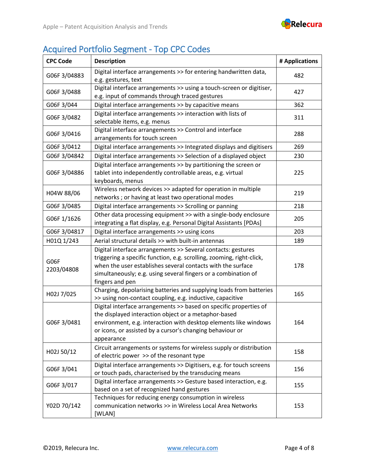

# Acquired Portfolio Segment - Top CPC Codes

| <b>CPC Code</b>    | <b>Description</b>                                                                                                                                                                                                                                                                        | # Applications |
|--------------------|-------------------------------------------------------------------------------------------------------------------------------------------------------------------------------------------------------------------------------------------------------------------------------------------|----------------|
| G06F 3/04883       | Digital interface arrangements >> for entering handwritten data,<br>e.g. gestures, text                                                                                                                                                                                                   | 482            |
| G06F 3/0488        | Digital interface arrangements >> using a touch-screen or digitiser,<br>e.g. input of commands through traced gestures                                                                                                                                                                    | 427            |
| G06F 3/044         | Digital interface arrangements >> by capacitive means                                                                                                                                                                                                                                     | 362            |
| G06F 3/0482        | Digital interface arrangements >> interaction with lists of<br>selectable items, e.g. menus                                                                                                                                                                                               | 311            |
| G06F 3/0416        | Digital interface arrangements >> Control and interface<br>arrangements for touch screen                                                                                                                                                                                                  | 288            |
| G06F 3/0412        | Digital interface arrangements >> Integrated displays and digitisers                                                                                                                                                                                                                      | 269            |
| G06F 3/04842       | Digital interface arrangements >> Selection of a displayed object                                                                                                                                                                                                                         | 230            |
| G06F 3/04886       | Digital interface arrangements >> by partitioning the screen or<br>tablet into independently controllable areas, e.g. virtual<br>keyboards, menus                                                                                                                                         | 225            |
| H04W 88/06         | Wireless network devices >> adapted for operation in multiple<br>networks ; or having at least two operational modes                                                                                                                                                                      | 219            |
| G06F 3/0485        | Digital interface arrangements >> Scrolling or panning                                                                                                                                                                                                                                    | 218            |
| G06F1/1626         | Other data processing equipment >> with a single-body enclosure<br>integrating a flat display, e.g. Personal Digital Assistants [PDAs]                                                                                                                                                    | 205            |
| G06F 3/04817       | Digital interface arrangements >> using icons                                                                                                                                                                                                                                             | 203            |
| H01Q 1/243         | Aerial structural details >> with built-in antennas                                                                                                                                                                                                                                       | 189            |
| G06F<br>2203/04808 | Digital interface arrangements >> Several contacts: gestures<br>triggering a specific function, e.g. scrolling, zooming, right-click,<br>when the user establishes several contacts with the surface<br>simultaneously; e.g. using several fingers or a combination of<br>fingers and pen | 178            |
| H02J 7/025         | Charging, depolarising batteries and supplying loads from batteries<br>>> using non-contact coupling, e.g. inductive, capacitive                                                                                                                                                          | 165            |
| G06F 3/0481        | Digital interface arrangements >> based on specific properties of<br>the displayed interaction object or a metaphor-based<br>environment, e.g. interaction with desktop elements like windows<br>or icons, or assisted by a cursor's changing behaviour or<br>appearance                  | 164            |
| H02J 50/12         | Circuit arrangements or systems for wireless supply or distribution<br>of electric power >> of the resonant type                                                                                                                                                                          | 158            |
| G06F 3/041         | Digital interface arrangements >> Digitisers, e.g. for touch screens<br>or touch pads, characterised by the transducing means                                                                                                                                                             | 156            |
| G06F 3/017         | Digital interface arrangements >> Gesture based interaction, e.g.<br>based on a set of recognized hand gestures                                                                                                                                                                           | 155            |
| Y02D 70/142        | Techniques for reducing energy consumption in wireless<br>communication networks >> in Wireless Local Area Networks<br>[WLAN]                                                                                                                                                             | 153            |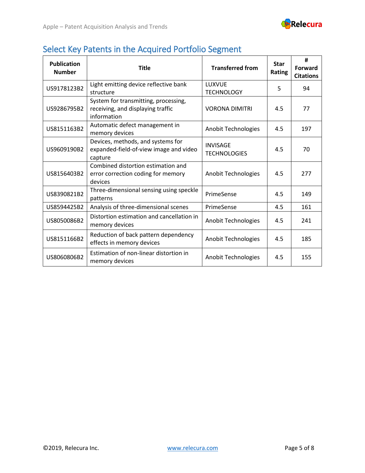

### Select Key Patents in the Acquired Portfolio Segment

| <b>Publication</b><br><b>Number</b> | <b>Title</b>                                                                             | <b>Transferred from</b>                | <b>Star</b><br>Rating | #<br><b>Forward</b><br><b>Citations</b> |
|-------------------------------------|------------------------------------------------------------------------------------------|----------------------------------------|-----------------------|-----------------------------------------|
| US9178123B2                         | Light emitting device reflective bank<br>structure                                       | LUXVUE<br><b>TECHNOLOGY</b>            | 5                     | 94                                      |
| US9286795B2                         | System for transmitting, processing,<br>receiving, and displaying traffic<br>information | <b>VORONA DIMITRI</b>                  | 4.5                   | 77                                      |
| US8151163B2                         | Automatic defect management in<br>memory devices                                         | Anobit Technologies                    | 4.5                   | 197                                     |
| US9609190B2                         | Devices, methods, and systems for<br>expanded-field-of-view image and video<br>capture   | <b>INVISAGE</b><br><b>TECHNOLOGIES</b> | 4.5                   | 70                                      |
| US8156403B2                         | Combined distortion estimation and<br>error correction coding for memory<br>devices      | Anobit Technologies                    | 4.5                   | 277                                     |
| US8390821B2                         | Three-dimensional sensing using speckle<br>patterns                                      | PrimeSense                             | 4.5                   | 149                                     |
| US8594425B2                         | Analysis of three-dimensional scenes                                                     | PrimeSense                             | 4.5                   | 161                                     |
| US8050086B2                         | Distortion estimation and cancellation in<br>memory devices                              | <b>Anobit Technologies</b>             | 4.5                   | 241                                     |
| US8151166B2                         | Reduction of back pattern dependency<br>effects in memory devices                        | <b>Anobit Technologies</b>             | 4.5                   | 185                                     |
| US8060806B2                         | Estimation of non-linear distortion in<br>memory devices                                 | Anobit Technologies                    | 4.5                   | 155                                     |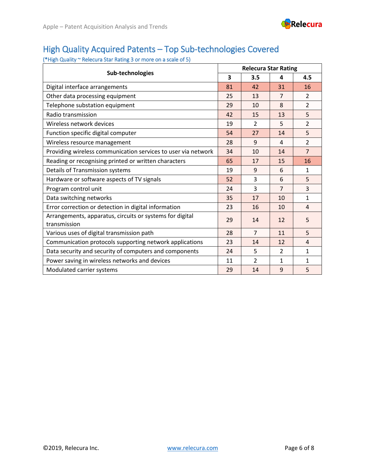

### High Quality Acquired Patents – Top Sub-technologies Covered

(\*High Quality ~ Relecura Star Rating 3 or more on a scale of 5)

| Sub-technologies                                                         |    | <b>Relecura Star Rating</b> |                |                |  |
|--------------------------------------------------------------------------|----|-----------------------------|----------------|----------------|--|
|                                                                          |    | 3.5                         | 4              | 4.5            |  |
| Digital interface arrangements                                           | 81 | 42                          | 31             | 16             |  |
| Other data processing equipment                                          | 25 | 13                          | $\overline{7}$ | $\mathcal{P}$  |  |
| Telephone substation equipment                                           | 29 | 10                          | 8              | $\overline{2}$ |  |
| Radio transmission                                                       | 42 | 15                          | 13             | 5              |  |
| Wireless network devices                                                 | 19 | $\mathcal{P}$               | 5              | $\overline{2}$ |  |
| Function specific digital computer                                       | 54 | 27                          | 14             | 5              |  |
| Wireless resource management                                             | 28 | 9                           | 4              | $\overline{2}$ |  |
| Providing wireless communication services to user via network            | 34 | 10                          | 14             | $\overline{7}$ |  |
| Reading or recognising printed or written characters                     | 65 | 17                          | 15             | 16             |  |
| Details of Transmission systems                                          | 19 | 9                           | 6              | $\mathbf{1}$   |  |
| Hardware or software aspects of TV signals                               | 52 | 3                           | 6              | 5              |  |
| Program control unit                                                     | 24 | 3                           | $\overline{7}$ | 3              |  |
| Data switching networks                                                  | 35 | 17                          | 10             | $\mathbf{1}$   |  |
| Error correction or detection in digital information                     | 23 | 16                          | 10             | $\overline{4}$ |  |
| Arrangements, apparatus, circuits or systems for digital<br>transmission | 29 | 14                          | 12             | 5              |  |
| Various uses of digital transmission path                                | 28 | $\overline{7}$              | 11             | 5              |  |
| Communication protocols supporting network applications                  | 23 | 14                          | 12             | $\overline{4}$ |  |
| Data security and security of computers and components                   | 24 | 5                           | $\mathcal{P}$  | $\mathbf{1}$   |  |
| Power saving in wireless networks and devices                            | 11 | $\overline{\mathcal{L}}$    | 1              | $\mathbf{1}$   |  |
| Modulated carrier systems                                                | 29 | 14                          | 9              | 5              |  |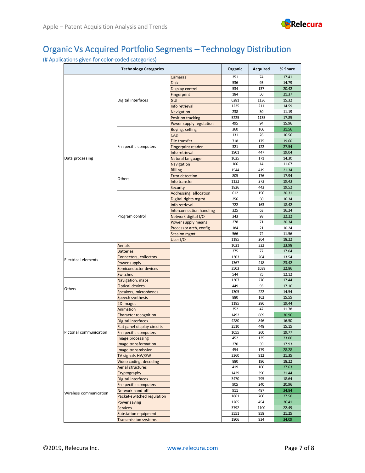

### Organic Vs Acquired Portfolio Segments – Technology Distribution

#### (# Applications given for color-coded categories)

| <b>Technology Categories</b> |                              |                          | Organic | Acquired                                                                                                                                                                                                    | % Share |
|------------------------------|------------------------------|--------------------------|---------|-------------------------------------------------------------------------------------------------------------------------------------------------------------------------------------------------------------|---------|
|                              |                              | Cameras                  | 351     | 74                                                                                                                                                                                                          | 17.41   |
|                              |                              | <b>Disk</b>              | 536     | 93                                                                                                                                                                                                          | 14.79   |
|                              |                              | Display control          | 534     | 137                                                                                                                                                                                                         | 20.42   |
|                              | Digital interfaces           | Fingerprint              | 184     | 50                                                                                                                                                                                                          | 21.37   |
|                              |                              | <b>GUI</b>               | 6281    | 1136                                                                                                                                                                                                        | 15.32   |
|                              |                              | Info retrieval           | 1235    | 211                                                                                                                                                                                                         | 14.59   |
|                              |                              | Navigation               | 238     | 30                                                                                                                                                                                                          | 11.19   |
|                              |                              | Position tracking        | 5225    | 1135                                                                                                                                                                                                        | 17.85   |
|                              |                              | Power supply regulation  | 495     | 94                                                                                                                                                                                                          | 15.96   |
|                              |                              | Buying, selling          | 360     | 166                                                                                                                                                                                                         | 31.56   |
|                              |                              | CAD                      | 131     | 26                                                                                                                                                                                                          | 16.56   |
|                              | Fn specific computers        | File transfer            | 718     | 175                                                                                                                                                                                                         | 19.60   |
|                              |                              | Fingerprint reader       | 321     | 122                                                                                                                                                                                                         | 27.54   |
|                              |                              | Info retrieval           | 1901    | 447                                                                                                                                                                                                         | 19.04   |
| Data processing              |                              | Natural language         | 1025    | 171                                                                                                                                                                                                         | 14.30   |
|                              |                              | Navigation               | 106     | 14                                                                                                                                                                                                          | 11.67   |
|                              |                              | <b>Billing</b>           | 1544    | 419                                                                                                                                                                                                         | 21.34   |
|                              | Others                       | Error detection          | 805     | 176                                                                                                                                                                                                         | 17.94   |
|                              |                              | Info transfer            | 1132    | 273                                                                                                                                                                                                         | 19.43   |
|                              |                              | Security                 | 1826    | 443                                                                                                                                                                                                         | 19.52   |
|                              |                              | Addressing, allocation   | 612     | 156                                                                                                                                                                                                         | 20.31   |
|                              |                              | Digital rights mgmt      | 256     | 50                                                                                                                                                                                                          | 16.34   |
|                              |                              | Info retrieval           | 722     | 163                                                                                                                                                                                                         | 18.42   |
|                              |                              | Interconnection handling | 325     | 63                                                                                                                                                                                                          | 16.24   |
|                              | Program control              | Network digital I/O      | 343     | 98                                                                                                                                                                                                          | 22.22   |
|                              |                              | Power supply means       | 278     | 71                                                                                                                                                                                                          | 20.34   |
|                              |                              | Processor arch, config   | 184     | 21                                                                                                                                                                                                          | 10.24   |
|                              |                              | Session mgmt             | 566     | 74                                                                                                                                                                                                          | 11.56   |
|                              |                              | User I/O                 | 1185    | 264                                                                                                                                                                                                         | 18.22   |
|                              | <b>Aerials</b>               |                          | 1021    | 322                                                                                                                                                                                                         | 23.98   |
|                              | <b>Batteries</b>             |                          | 375     |                                                                                                                                                                                                             | 17.04   |
|                              | Connectors, collectors       |                          | 1303    |                                                                                                                                                                                                             | 13.54   |
| <b>Electrical elements</b>   | Power supply                 |                          | 1367    |                                                                                                                                                                                                             | 23.42   |
|                              | Semiconductor devices        |                          | 3503    | 77<br>204<br>418<br>1038<br>75<br>276<br>93<br>222<br>162<br>286<br>47<br>669<br>846<br>448<br>260<br>135<br>59<br>179<br>912<br>196<br>160<br>390<br>795<br>240<br>487<br>706<br>454<br>1100<br>958<br>934 | 22.86   |
|                              | Switches                     |                          | 544     |                                                                                                                                                                                                             | 12.12   |
|                              | Navigation, maps             |                          | 1307    |                                                                                                                                                                                                             | 17.44   |
|                              | <b>Optical devices</b>       |                          | 449     |                                                                                                                                                                                                             | 17.16   |
|                              | Speakers, microphones        |                          | 1305    |                                                                                                                                                                                                             | 14.54   |
|                              | Speech synthesis             |                          | 880     |                                                                                                                                                                                                             | 15.55   |
|                              | 2D images                    |                          | 1185    |                                                                                                                                                                                                             | 19.44   |
|                              | Animation                    |                          | 352     |                                                                                                                                                                                                             | 11.78   |
|                              | Character recognition        |                          | 1492    |                                                                                                                                                                                                             | 30.96   |
|                              | Digital interfaces           |                          | 4280    |                                                                                                                                                                                                             | 16.50   |
| Others                       | Flat panel display circuits  |                          | 2510    |                                                                                                                                                                                                             | 15.15   |
|                              | Fn specific computers        |                          | 1055    |                                                                                                                                                                                                             | 19.77   |
|                              | Image processing             |                          | 452     |                                                                                                                                                                                                             | 23.00   |
|                              | Image transformation         |                          | 270     |                                                                                                                                                                                                             | 17.93   |
|                              | Image transmission           |                          | 454     |                                                                                                                                                                                                             | 28.28   |
|                              | TV signals HW/SW             |                          | 3360    |                                                                                                                                                                                                             | 21.35   |
|                              | Video coding, decoding       |                          | 880     |                                                                                                                                                                                                             | 18.22   |
|                              | Aerial structures            |                          | 419     |                                                                                                                                                                                                             | 27.63   |
|                              | Cryptography                 |                          | 1429    |                                                                                                                                                                                                             | 21.44   |
|                              | Digital interfaces           |                          | 3470    |                                                                                                                                                                                                             | 18.64   |
|                              | <b>Fn specific computers</b> |                          | 905     |                                                                                                                                                                                                             | 20.96   |
| Wireless communication       | Network hand-off             |                          | 911     |                                                                                                                                                                                                             | 34.84   |
| Pictorial communication      | Packet-switched regulation   |                          | 1861    |                                                                                                                                                                                                             | 27.50   |
|                              | Power saving                 |                          | 1265    |                                                                                                                                                                                                             | 26.41   |
|                              | <b>Services</b>              |                          | 3792    |                                                                                                                                                                                                             | 22.49   |
|                              | Substation equipment         |                          | 3551    |                                                                                                                                                                                                             | 21.25   |
|                              | <b>Transmission systems</b>  |                          | 1806    |                                                                                                                                                                                                             | 34.09   |